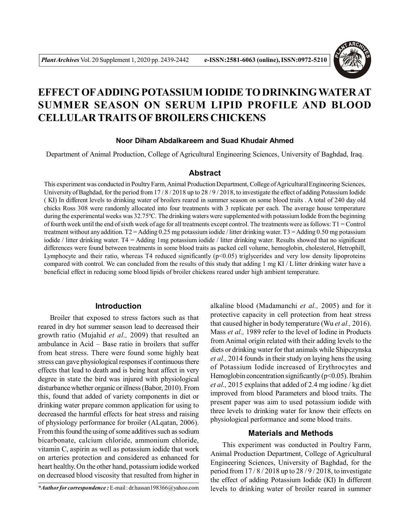

# **EFFECT OFADDING POTASSIUM IODIDE TO DRINKINGWATER AT SUMMER SEASON ON SERUM LIPID PROFILE AND BLOOD CELLULAR TRAITS OF BROILERS CHICKENS**

## **Noor Diham Abdalkareem and Suad Khudair Ahmed**

Department of Animal Production, College of Agricultural Engineering Sciences, University of Baghdad, Iraq.

# **Abstract**

This experiment was conducted in Poultry Farm, Animal Production Department, College of Agricultural Engineering Sciences, University of Baghdad, for the period from 17/8/2018 up to 28/9/2018, to investigate the effect of adding Potassium Iodide ( KI) In different levels to drinking water of broilers reared in summer season on some blood traits . A total of 240 day old chicks Ross 308 were randomly allocated into four treatments with 3 replicate per each. The average house temperature during the experimental weeks was 32.75°C. The drinking waters were supplemented with potassium Iodide from the beginning of fourth week until the end of sixth week of age for all treatments except control. The treatments were as follows: T1 = Control treatment without any addition. T2 = Adding 0.25 mg potassium iodide / litter drinking water. T3 = Adding 0.50 mg potassium iodide / litter drinking water. T4 = Adding 1mg potassium iodide / litter drinking water. Results showed that no significant differences were found between treatments in some blood traits as packed cell volume, hemoglobin, cholesterol, Hetrophill, Lymphocyte and their ratio, whereas T4 reduced significantly  $(p<0.05)$  triglycerides and very low density lipoproteins compared with control. We can concluded from the results of this study that adding 1 mg KI / L litter drinking water have a beneficial effect in reducing some blood lipids of broiler chickens reared under high ambient temperature.

# **Introduction**

Broiler that exposed to stress factors such as that reared in dry hot summer season lead to decreased their growth ratio (Mujahid *et al.,* 2009) that resulted an ambulance in Acid – Base ratio in broilers that suffer from heat stress. There were found some highly heat stress can gave physiological responses if continuous there effects that lead to death and is being heat affect in very degree in state the bird was injured with physiological disturbance whether organic or illness (Babor, 2010). From this, found that added of variety components in diet or drinking water prepare common application for using to decreased the harmful effects for heat stress and raising of physiology performance for broiler (ALqatan, 2006). From this found the using of some additives such as sodium bicarbonate, calcium chloride, ammonium chloride, vitamin C, aspirin as well as potassium iodide that work on arteries protection and considered as enhanced for heart healthy. On the other hand, potassium iodide worked on decreased blood viscosity that resulted from higher in

alkaline blood (Madamanchi *et al.,* 2005) and for it protective capacity in cell protection from heat stress that caused higher in body temperature (Wu *et al.,* 2016). Mass *et al.,* 1989 refer to the level of Iodine in Products from Animal origin related with their adding levels to the diets or drinking water for that animals while Shipczynska *et al.,* 2014 founds in their study on laying hens the using of Potassium Iodide increased of Erythrocytes and Hemoglobin concentration significantly  $(p<0.05)$ . Ibrahim *et al.,* 2015 explains that added of 2.4 mg iodine / kg diet improved from blood Parameters and blood traits. The present paper was aim to used potassium iodide with three levels to drinking water for know their effects on physiological performance and some blood traits.

#### **Materials and Methods**

This experiment was conducted in Poultry Farm, Animal Production Department, College of Agricultural Engineering Sciences, University of Baghdad, for the period from  $17/8/2018$  up to  $28/9/2018$ , to investigate the effect of adding Potassium Iodide (KI) In different levels to drinking water of broiler reared in summer

*<sup>\*</sup>Author for correspondence :* E-mail : dr.hassan198366@yahoo.com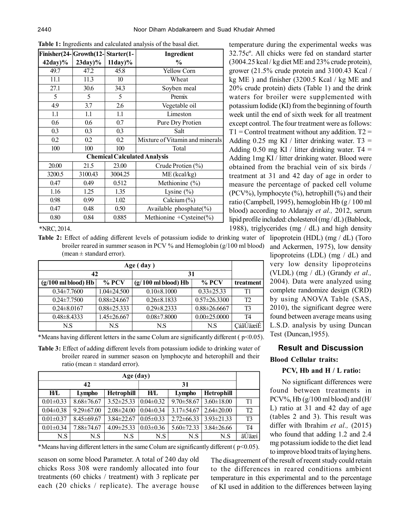| Finisher(24-Growth(12- |                                     | Starter(1- | Ingredient                      |  |  |  |
|------------------------|-------------------------------------|------------|---------------------------------|--|--|--|
| $42day$ %              | $23day$ %                           | $11day$ %  | $\%$                            |  |  |  |
| 49.7                   | 47.2                                | 45.8       | <b>Yellow Corn</b>              |  |  |  |
| 11.1                   | 11.3                                | 10         | Wheat                           |  |  |  |
| 27.1                   | 30.6                                | 34.3       | Soyben meal                     |  |  |  |
| 5                      | 5                                   | 5          | Premix                          |  |  |  |
| 4.9                    | 3.7                                 | 2.6        | Vegetable oil                   |  |  |  |
| 1.1                    | 1.1                                 | 1.1        | Limeston                        |  |  |  |
| 0.6                    | 0.6                                 | 0.7        | Pure Dry Protien                |  |  |  |
| 0.3                    | 0.3                                 | 0.3        | Salt                            |  |  |  |
| 0.2                    | 0.2                                 | 0.2        | Mixture of Vitamin and minerals |  |  |  |
| 100                    | 100                                 | 100        | Total                           |  |  |  |
|                        | <b>Chemical Calculated Analysis</b> |            |                                 |  |  |  |
| 20.00                  | 21.5                                | 23.00      | Crude Protien (%)               |  |  |  |
| 3200.5                 | 3100.43                             | 3004.25    | $ME$ (kcal/kg)                  |  |  |  |
| 0.47                   | 0.49                                | 0.512      | Methionine (%)                  |  |  |  |
| 1.16                   | 1.25                                | 1.35       | Lysine $(\% )$                  |  |  |  |
| 0.98                   | 0.99                                | 1.02       | Calcium (%)                     |  |  |  |
| 0.47                   | 0.48                                | 0.50       | Available phosphate $(\%)$      |  |  |  |
| 0.80                   | 0.84                                | 0.885      | Methionine + Cysteine $(\% )$   |  |  |  |

**Table 1:** Ingredients and calculated analysis of the basal diet.

\*NRC, 2014.

**Table 2:** Effect of adding different levels of potassium iodide to drinking water of lipoprotein (HDL) (mg / dL) (Toro broiler reared in summer season in PCV % and Hemoglobin (g/100 ml blood) (mean  $\pm$  standard error).

| Age (day)                     |                   |                               |                    |           |
|-------------------------------|-------------------|-------------------------------|--------------------|-----------|
| 42                            |                   | 31                            |                    |           |
| $(g/100 \text{ ml blood})$ Hb | $%$ PCV           | $(g/100 \text{ ml blood})$ Hb | $%$ PCV            | treatment |
| $0.34 \pm 7.7600$             | $1.04 \pm 24.500$ | $0.10 \pm 8.1000$             | $0.33 \pm 25.33$   | T1        |
| $0.24 \pm 7.7500$             | $0.88 \pm 24.667$ | $0.26 \pm 8.1833$             | $0.57 \pm 26.3300$ | T2        |
| $0.24 \pm 8.0167$             | $0.88 \pm 25.333$ | $0.29 \pm 8.2333$             | $0.88 \pm 26.6667$ | T3        |
| $0.48 \pm 8.4333$             | $1.45 \pm 26.667$ | $0.08 \pm 7.8000$             | $0.00 \pm 25.0000$ | T4        |
| N.S                           | N.S               | N.S                           | N.S                | CáãUäæíE  |

\*Means having different letters in the same Colum are significantly different ( $p<0.05$ ).

**Table 3:** Effect of adding different levels from potassium iodide to drinking water of broiler reared in summer season on lymphocyte and heterophill and their ratio (mean  $\pm$  standard error).

| Age (day)       |                  |                   |                 |                  |                   |                |
|-----------------|------------------|-------------------|-----------------|------------------|-------------------|----------------|
| 42              |                  |                   |                 |                  |                   |                |
| H/L             | Lympho           | <b>Hetrophill</b> | H/L             | Lympho           | <b>Hetrophill</b> |                |
| $0.01 \pm 0.33$ | $8.68 \pm 76.67$ | $3.52 \pm 25.33$  | $0.04 \pm 0.32$ | $9.70 \pm 58.67$ | $3.60 \pm 18.00$  | T1             |
| $0.04 \pm 0.38$ | $9.29 \pm 67.00$ | $2.08 \pm 24.00$  | $0.04 \pm 0.34$ | $3.17 \pm 54.67$ | $2.64 \pm 20.00$  | T <sub>2</sub> |
| $0.01 \pm 0.37$ | $8.45 \pm 69.67$ | $3.84 \pm 22.67$  | $0.05 \pm 0.33$ | $2.72 \pm 66.33$ | $3.93 \pm 21.33$  | T <sub>3</sub> |
| $0.01 \pm 0.34$ | 7.88±74.67       | $4.09 \pm 25.33$  | $0.03 \pm 0.36$ | $5.60 \pm 72.33$ | $3.84 \pm 26.66$  | T4             |
| N.S             | N.S              | N.S               | N.S             | N.S              | N.S               | ãÜäæí          |

\*Means having different letters in the same Colum are significantly different ( $p<0.05$ ).

season on some blood Parameter. A total of 240 day old chicks Ross 308 were randomly allocated into four treatments (60 chicks / treatment) with 3 replicate per each (20 chicks / replicate). The average house

temperature during the experimental weeks was 32.75cº. All chicks were fed on standard starter (3004.25 kcal / kg diet ME and 23% crude protein), grower (21.5% crude protein and 3100.43 Kcal / kg ME ) and finisher (3200.5 Kcal / kg ME and 20% crude protein) diets (Table 1) and the drink waters for broiler were supplemented with potassium Iodide (KI) from the beginning of fourth week until the end of sixth week for all treatment except control. The four treatment were as follows:  $T1 =$  Control treatment without any addition.  $T2 =$ Adding 0.25 mg KI / litter drinking water.  $T3 =$ Adding 0.50 mg KI / litter drinking water.  $T4 =$ Adding 1mg KI / litter drinking water. Blood were obtained from the brachial vein of six birds / treatment at 31 and 42 day of age in order to measure the percentage of packed cell volume (PCV%), lymphocyte  $(\%)$ , hetrophill  $(\% )$  and their ratio (Campbell, 1995), hemoglobin Hb (g / 100 ml blood) according to Aldarajy *et al.,* 2012, serum lipid profile included: cholesterol (mg / dL) (Bablock, 1988), triglycerides (mg  $/$  dL) and high density

and Ackermen, 1975), low density lipoproteins (LDL) (mg / dL) and very low density lipoproteins (VLDL) (mg / dL) (Grandy *et al.,* 2004). Data were analyzed using complete randomize design (CRD) by using ANOVA Table (SAS, 2010), the significant degree were found between average means using L.S.D. analysis by using Duncan Test (Duncan,1955).

# **Result and Discussion**

# **Blood Cellular traits:**

# **PCV, Hb and H / L ratio:**

No significant differences were found between treatments in PCV%, Hb (g/100 ml blood) and (H/ L) ratio at 31 and 42 day of age (tables 2 and 3). This result was differ with Ibrahim *et al.,* (2015) who found that adding 1.2 and 2.4 mg potassium iodide to the diet lead to improve blood traits of laying hens.

The disagreement of the result of recent study could retain to the differences in reared conditions ambient temperature in this experimental and to the percentage of KI used in addition to the differences between laying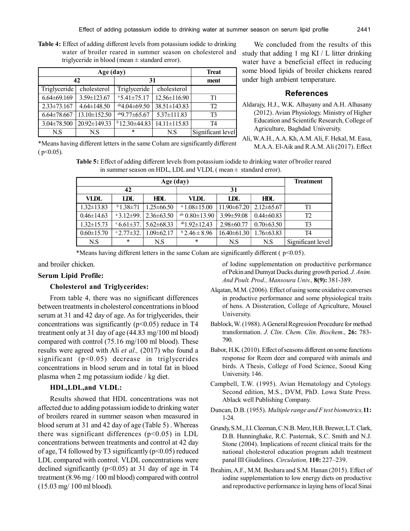**Table 4:** Effect of adding different levels from potassium iodide to drinking water of broiler reared in summer season on cholesterol and triglyceride in blood (mean ± standard error).

|                   | <b>Treat</b>       |                           |                    |                   |
|-------------------|--------------------|---------------------------|--------------------|-------------------|
| 42                |                    | 31                        | ment               |                   |
| Triglyceride      | cholesterol        | Triglyceride              | cholesterol        |                   |
| $6.64\pm69.169$   | 3.59±123.67        | $a$ 5.41±75.17            | $12.56 \pm 116.90$ | Τ1                |
| $2.33 \pm 73.167$ | $4.64 \pm 148.50$  | $\sqrt{ab4.04 \pm 69.50}$ | $38.51 \pm 143.83$ | T <sub>2</sub>    |
| $6.64\pm78.667$   | $13.10 \pm 152.50$ | $^{ab}9.77\pm 65.67$      | $5.37 \pm 111.83$  | T <sub>3</sub>    |
| $3.04 \pm 78.500$ | $20.92 \pm 149.33$ | $b$ 12.30±44.83           | $14.11 \pm 115.83$ | T4                |
| N.S               | N.S                | $\ast$                    | N.S                | Significant level |

We concluded from the results of this study that adding 1 mg KI / L litter drinking water have a beneficial effect in reducing some blood lipids of broiler chickens reared under high ambient temperature.

#### **References**

- Aldarajy, H.J., W.K. Alhayany and A.H. Alhasany (2012). Avian Physiology. Ministry of Higher Education and Scientific Research, College of Agriculture, Baghdad University.
- \*Means having different letters in the same Colum are significantly different  $(p<0.05)$ .
- Ali, W.A.H., A.A. Kh, A.M. Ali, F. Hekal, M. Easa, M.A.A. El-Aik and R.A.M. Ali (2017). Effect

**Table 5:** Effect of adding different levels from potassium iodide to drinking water of broiler reared in summer season on HDL, LDL and VLDL ( $mean \pm$  standard error).

| Age (day)        |                          |                  |                           |                  |                  | <b>Treatment</b>  |
|------------------|--------------------------|------------------|---------------------------|------------------|------------------|-------------------|
| 42               |                          |                  |                           |                  |                  |                   |
| VLDL             | IDL                      | HDL.             | VLDL                      | <b>IDL</b>       | HDL.             |                   |
| $1.32 \pm 13.83$ | $b$ 1.38 $\pm$ 71        | $1.25 \pm 66.50$ | <sup>a</sup> 1.08 ± 15.00 | $11.90\pm 67.20$ | $2.12\pm 65.67$  | T1                |
| $0.46 \pm 14.63$ | $a$ 3.12 $\pm$ 99.       | $2.36\pm 63.50$  | ab $0.80 \pm 13.90$       | $3.99 \pm 59.08$ | $0.44 \pm 60.83$ | T2                |
| $1.32 \pm 15.73$ | $\degree$ 6.61 $\pm$ 37. | $5.62\pm 68.33$  | $ab1.92 \pm 12.43$        | $2.98 \pm 60.77$ | $0.70 \pm 63.50$ | T <sub>3</sub>    |
| $0.60 \pm 15.70$ | $^{\circ}2.77\pm32.$     | $1.09 \pm 62.17$ | $b$ 2.46 ± 8.96           | $16.40\pm61.30$  | $1.76 \pm 63.83$ | T <sub>4</sub>    |
| N.S              | $\ast$                   | N.S              | $\ast$                    | N.S              | N.S              | Significant level |

\*Means having different letters in the same Colum are significantly different ( $p<0.05$ ).

and broiler chicken.

#### **Serum Lipid Profile:**

## **Cholesterol and Triglycerides:**

From table 4, there was no significant differences between treatments in cholesterol concentrations in blood serum at 31 and 42 day of age. As for triglycerides, their concentrations was significantly ( $p<0.05$ ) reduce in T4 treatment only at 31 day of age (44.83 mg/100 ml blood) compared with control (75.16 mg/100 ml blood). These results were agreed with Ali *et al.,* (2017) who found a significant  $(p<0.05)$  decrease in triglycerides concentrations in blood serum and in total fat in blood plasma when 2 mg potassium iodide / kg diet.

## **HDL,LDL,and VLDL:**

Results showed that HDL concentrations was not affected due to adding potassium iodide to drinking water of broilers reared in summer season when measured in blood serum at 31 and 42 day of age (Table 5) . Whereas there was significant differences  $(p<0.05)$  in LDL concentrations between treatments and control at 42 day of age, T4 followed by T3 significantly  $(p<0.05)$  reduced LDL compared with control. VLDL concentrations were declined significantly ( $p<0.05$ ) at 31 day of age in T4 treatment (8.96 mg / 100 ml blood) compared with control (15.03 mg/ 100 ml blood).

of Iodine supplementation on productitive performance of Pekin and Dumyat Ducks during growth period. *J. Anim. And Poult. Prod., Mansoura Univ.,* **8(9):** 381-389.

- Alqatan, M.M. (2006). Effect of using some oxidative converses in productive performance and some physiological traits of hens. A Dissteration, College of Agriculture, Mousel University.
- Bablock, W. (1988). A General Regression Procedure for method transformation. *J. Clin. Chem. Clin. Biochem.,* **26:** 783- 790.
- Babor, H.K. (2010). Effect of seasons different on some functions response for Reem deer and compared with animals and birds. A Thesis, College of Food Science, Sooud King University. 146.
- Campbell, T.W. (1995). Avian Hematology and Cytology. Second edition, M.S., DVM, PhD. Lowa State Press. Ablack well Publishing Company.
- Duncan, D.B. (1955). *Multiple range and F test biometrics,***11:** 1-24.
- Grundy, S.M., J.I. Cleeman, C.N.B. Merz, H.B. Brewer, L.T. Clark, D.B. Hunninghake, R.C. Pasternak, S.C. Smith and N.J. Stone (2004). Implications of recent clinical traits for the national cholesterol education program adult treatment panal III Giudelines. *Circulation,* **110:** 227–239.
- Ibrahim, A.F., M.M. Beshara and S.M. Hanan (2015). Effect of iodine supplementation to low energy diets on productive and reproductive performance in laying hens of local Sinai